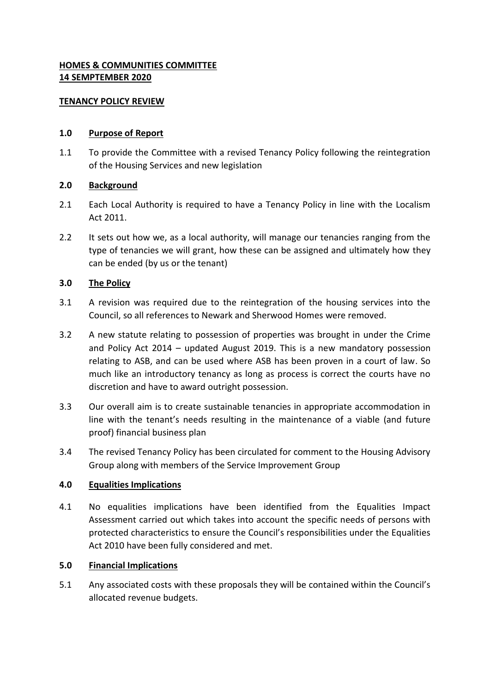# **HOMES & COMMUNITIES COMMITTEE 14 SEMPTEMBER 2020**

### **TENANCY POLICY REVIEW**

# **1.0 Purpose of Report**

1.1 To provide the Committee with a revised Tenancy Policy following the reintegration of the Housing Services and new legislation

# **2.0 Background**

- 2.1 Each Local Authority is required to have a Tenancy Policy in line with the Localism Act 2011.
- 2.2 It sets out how we, as a local authority, will manage our tenancies ranging from the type of tenancies we will grant, how these can be assigned and ultimately how they can be ended (by us or the tenant)

# **3.0 The Policy**

- 3.1 A revision was required due to the reintegration of the housing services into the Council, so all references to Newark and Sherwood Homes were removed.
- 3.2 A new statute relating to possession of properties was brought in under the Crime and Policy Act 2014 – updated August 2019. This is a new mandatory possession relating to ASB, and can be used where ASB has been proven in a court of law. So much like an introductory tenancy as long as process is correct the courts have no discretion and have to award outright possession.
- 3.3 Our overall aim is to create sustainable tenancies in appropriate accommodation in line with the tenant's needs resulting in the maintenance of a viable (and future proof) financial business plan
- 3.4 The revised Tenancy Policy has been circulated for comment to the Housing Advisory Group along with members of the Service Improvement Group

### **4.0 Equalities Implications**

4.1 No equalities implications have been identified from the Equalities Impact Assessment carried out which takes into account the specific needs of persons with protected characteristics to ensure the Council's responsibilities under the Equalities Act 2010 have been fully considered and met.

### **5.0 Financial Implications**

5.1 Any associated costs with these proposals they will be contained within the Council's allocated revenue budgets.